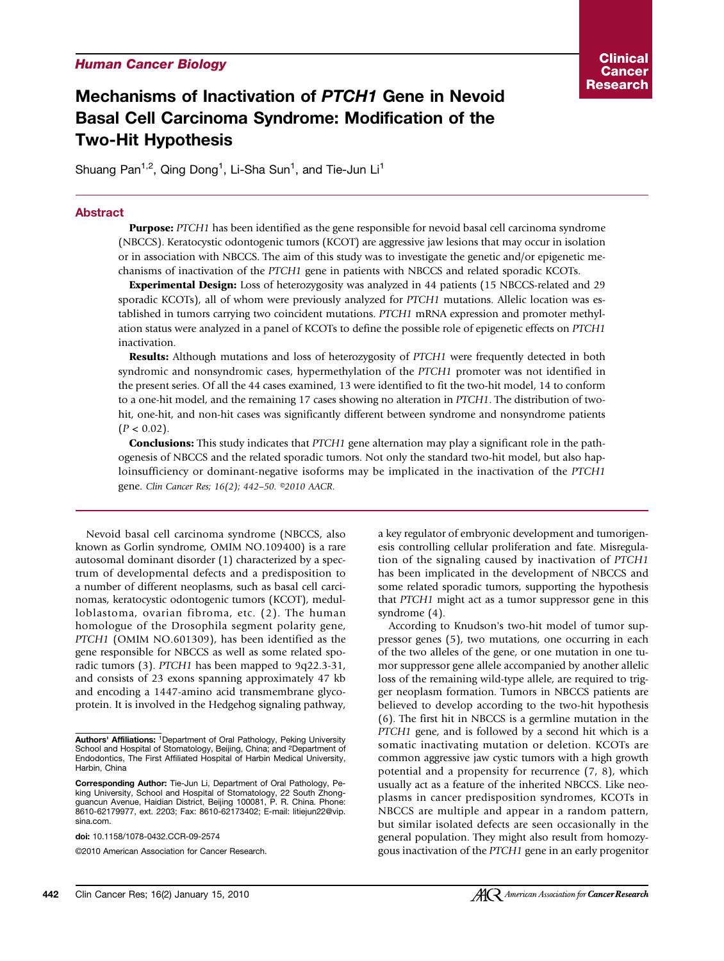# Human Cancer Biology

# Mechanisms of Inactivation of PTCH1 Gene in Nevoid Basal Cell Carcinoma Syndrome: Modification of the Two-Hit Hypothesis

Shuang Pan<sup>1,2</sup>, Qing Dong<sup>1</sup>, Li-Sha Sun<sup>1</sup>, and Tie-Jun Li<sup>1</sup>

## Abstract

Purpose: PTCH1 has been identified as the gene responsible for nevoid basal cell carcinoma syndrome (NBCCS). Keratocystic odontogenic tumors (KCOT) are aggressive jaw lesions that may occur in isolation or in association with NBCCS. The aim of this study was to investigate the genetic and/or epigenetic mechanisms of inactivation of the PTCH1 gene in patients with NBCCS and related sporadic KCOTs.

Experimental Design: Loss of heterozygosity was analyzed in 44 patients (15 NBCCS-related and 29 sporadic KCOTs), all of whom were previously analyzed for PTCH1 mutations. Allelic location was established in tumors carrying two coincident mutations. PTCH1 mRNA expression and promoter methylation status were analyzed in a panel of KCOTs to define the possible role of epigenetic effects on PTCH1 inactivation.

Results: Although mutations and loss of heterozygosity of PTCH1 were frequently detected in both syndromic and nonsyndromic cases, hypermethylation of the PTCH1 promoter was not identified in the present series. Of all the 44 cases examined, 13 were identified to fit the two-hit model, 14 to conform to a one-hit model, and the remaining 17 cases showing no alteration in PTCH1. The distribution of twohit, one-hit, and non-hit cases was significantly different between syndrome and nonsyndrome patients  $(P < 0.02)$ .

**Conclusions:** This study indicates that PTCH1 gene alternation may play a significant role in the pathogenesis of NBCCS and the related sporadic tumors. Not only the standard two-hit model, but also haploinsufficiency or dominant-negative isoforms may be implicated in the inactivation of the PTCH1 gene. Clin Cancer Res; 16(2); 442–50. ©2010 AACR.

Nevoid basal cell carcinoma syndrome (NBCCS, also known as Gorlin syndrome, OMIM NO.109400) is a rare autosomal dominant disorder (1) characterized by a spectrum of developmental defects and a predisposition to a number of different neoplasms, such as basal cell carcinomas, keratocystic odontogenic tumors (KCOT), medulloblastoma, ovarian fibroma, etc. (2). The human homologue of the Drosophila segment polarity gene, PTCH1 (OMIM NO.601309), has been identified as the gene responsible for NBCCS as well as some related sporadic tumors (3). PTCH1 has been mapped to 9q22.3-31, and consists of 23 exons spanning approximately 47 kb and encoding a 1447-amino acid transmembrane glycoprotein. It is involved in the Hedgehog signaling pathway,

doi: 10.1158/1078-0432.CCR-09-2574

©2010 American Association for Cancer Research.

a key regulator of embryonic development and tumorigenesis controlling cellular proliferation and fate. Misregulation of the signaling caused by inactivation of PTCH1 has been implicated in the development of NBCCS and some related sporadic tumors, supporting the hypothesis that PTCH1 might act as a tumor suppressor gene in this syndrome (4).

According to Knudson's two-hit model of tumor suppressor genes (5), two mutations, one occurring in each of the two alleles of the gene, or one mutation in one tumor suppressor gene allele accompanied by another allelic loss of the remaining wild-type allele, are required to trigger neoplasm formation. Tumors in NBCCS patients are believed to develop according to the two-hit hypothesis (6). The first hit in NBCCS is a germline mutation in the PTCH1 gene, and is followed by a second hit which is a somatic inactivating mutation or deletion. KCOTs are common aggressive jaw cystic tumors with a high growth potential and a propensity for recurrence (7, 8), which usually act as a feature of the inherited NBCCS. Like neoplasms in cancer predisposition syndromes, KCOTs in NBCCS are multiple and appear in a random pattern, but similar isolated defects are seen occasionally in the general population. They might also result from homozygous inactivation of the PTCH1 gene in an early progenitor

Authors' Affiliations: 1Department of Oral Pathology, Peking University School and Hospital of Stomatology, Beijing, China; and <sup>2</sup>Department of Endodontics, The First Affiliated Hospital of Harbin Medical University, Harbin, China

Corresponding Author: Tie-Jun Li, Department of Oral Pathology, Peking University, School and Hospital of Stomatology, 22 South Zhongguancun Avenue, Haidian District, Beijing 100081, P. R. China. Phone: 8610-62179977, ext. 2203; Fax: 8610-62173402; E-mail: litiejun22@vip. sina.com.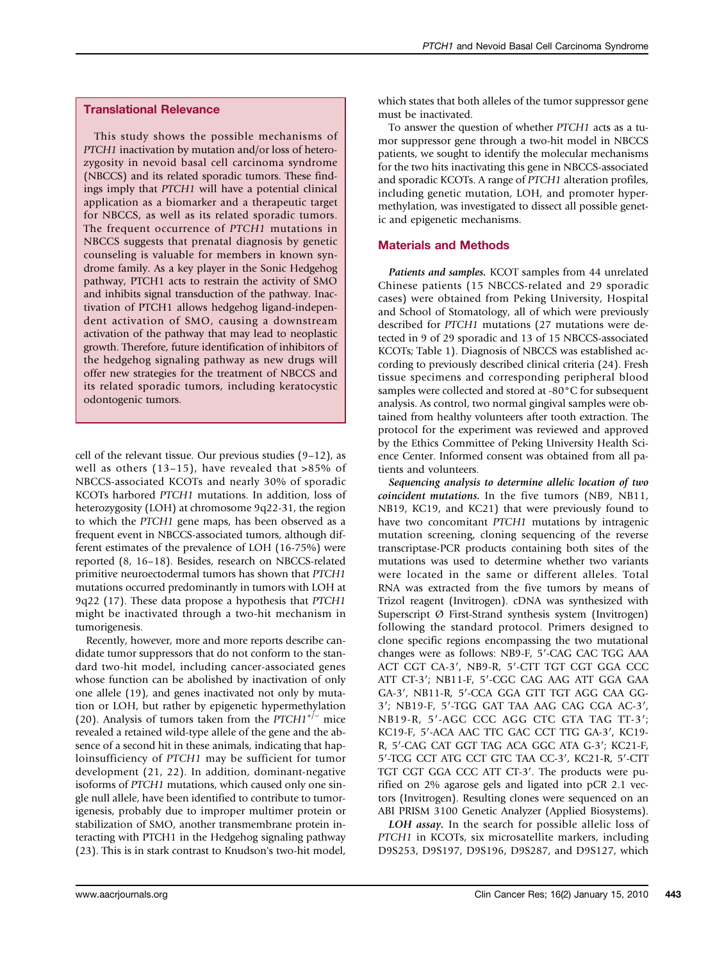### Translational Relevance

This study shows the possible mechanisms of PTCH1 inactivation by mutation and/or loss of heterozygosity in nevoid basal cell carcinoma syndrome (NBCCS) and its related sporadic tumors. These findings imply that PTCH1 will have a potential clinical application as a biomarker and a therapeutic target for NBCCS, as well as its related sporadic tumors. The frequent occurrence of PTCH1 mutations in NBCCS suggests that prenatal diagnosis by genetic counseling is valuable for members in known syndrome family. As a key player in the Sonic Hedgehog pathway, PTCH1 acts to restrain the activity of SMO and inhibits signal transduction of the pathway. Inactivation of PTCH1 allows hedgehog ligand-independent activation of SMO, causing a downstream activation of the pathway that may lead to neoplastic growth. Therefore, future identification of inhibitors of the hedgehog signaling pathway as new drugs will offer new strategies for the treatment of NBCCS and its related sporadic tumors, including keratocystic odontogenic tumors.

cell of the relevant tissue. Our previous studies (9–12), as well as others (13–15), have revealed that >85% of NBCCS-associated KCOTs and nearly 30% of sporadic KCOTs harbored PTCH1 mutations. In addition, loss of heterozygosity (LOH) at chromosome 9q22-31, the region to which the PTCH1 gene maps, has been observed as a frequent event in NBCCS-associated tumors, although different estimates of the prevalence of LOH (16-75%) were reported (8, 16–18). Besides, research on NBCCS-related primitive neuroectodermal tumors has shown that PTCH1 mutations occurred predominantly in tumors with LOH at 9q22 (17). These data propose a hypothesis that PTCH1 might be inactivated through a two-hit mechanism in tumorigenesis.

Recently, however, more and more reports describe candidate tumor suppressors that do not conform to the standard two-hit model, including cancer-associated genes whose function can be abolished by inactivation of only one allele (19), and genes inactivated not only by mutation or LOH, but rather by epigenetic hypermethylation (20). Analysis of tumors taken from the  $PTCH1^{+/-}$  mice revealed a retained wild-type allele of the gene and the absence of a second hit in these animals, indicating that haploinsufficiency of PTCH1 may be sufficient for tumor development (21, 22). In addition, dominant-negative isoforms of PTCH1 mutations, which caused only one single null allele, have been identified to contribute to tumorigenesis, probably due to improper multimer protein or stabilization of SMO, another transmembrane protein interacting with PTCH1 in the Hedgehog signaling pathway (23). This is in stark contrast to Knudson's two-hit model,

which states that both alleles of the tumor suppressor gene must be inactivated.

To answer the question of whether PTCH1 acts as a tumor suppressor gene through a two-hit model in NBCCS patients, we sought to identify the molecular mechanisms for the two hits inactivating this gene in NBCCS-associated and sporadic KCOTs. A range of PTCH1 alteration profiles, including genetic mutation, LOH, and promoter hypermethylation, was investigated to dissect all possible genetic and epigenetic mechanisms.

# Materials and Methods

Patients and samples. KCOT samples from 44 unrelated Chinese patients (15 NBCCS-related and 29 sporadic cases) were obtained from Peking University, Hospital and School of Stomatology, all of which were previously described for PTCH1 mutations (27 mutations were detected in 9 of 29 sporadic and 13 of 15 NBCCS-associated KCOTs; Table 1). Diagnosis of NBCCS was established according to previously described clinical criteria (24). Fresh tissue specimens and corresponding peripheral blood samples were collected and stored at -80°C for subsequent analysis. As control, two normal gingival samples were obtained from healthy volunteers after tooth extraction. The protocol for the experiment was reviewed and approved by the Ethics Committee of Peking University Health Science Center. Informed consent was obtained from all patients and volunteers.

Sequencing analysis to determine allelic location of two coincident mutations. In the five tumors (NB9, NB11, NB19, KC19, and KC21) that were previously found to have two concomitant PTCH1 mutations by intragenic mutation screening, cloning sequencing of the reverse transcriptase-PCR products containing both sites of the mutations was used to determine whether two variants were located in the same or different alleles. Total RNA was extracted from the five tumors by means of Trizol reagent (Invitrogen). cDNA was synthesized with Superscript Ø First-Strand synthesis system (Invitrogen) following the standard protocol. Primers designed to clone specific regions encompassing the two mutational changes were as follows: NB9-F, 5′-CAG CAC TGG AAA ACT CGT CA-3′, NB9-R, 5′-CTT TGT CGT GGA CCC ATT CT-3′; NB11-F, 5′-CGC CAG AAG ATT GGA GAA GA-3′, NB11-R, 5′-CCA GGA GTT TGT AGG CAA GG-3′; NB19-F, 5′-TGG GAT TAA AAG CAG CGA AC-3′, NB19-R, 5′-AGC CCC AGG CTC GTA TAG TT-3′; KC19-F, 5′-ACA AAC TTC GAC CCT TTG GA-3′, KC19- R, 5′-CAG CAT GGT TAG ACA GGC ATA G-3′; KC21-F, 5′-TCG CCT ATG CCT GTC TAA CC-3′, KC21-R, 5′-CTT TGT CGT GGA CCC ATT CT-3′. The products were purified on 2% agarose gels and ligated into pCR 2.1 vectors (Invitrogen). Resulting clones were sequenced on an ABI PRISM 3100 Genetic Analyzer (Applied Biosystems).

LOH assay. In the search for possible allelic loss of PTCH1 in KCOTs, six microsatellite markers, including D9S253, D9S197, D9S196, D9S287, and D9S127, which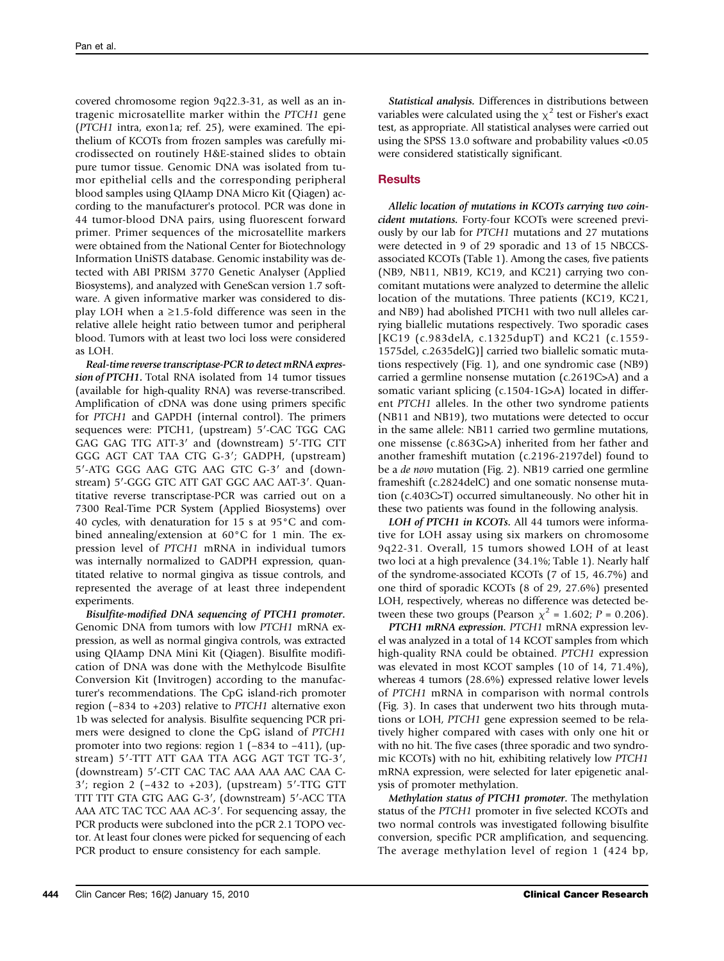covered chromosome region 9q22.3-31, as well as an intragenic microsatellite marker within the PTCH1 gene (PTCH1 intra, exon1a; ref. 25), were examined. The epithelium of KCOTs from frozen samples was carefully microdissected on routinely H&E-stained slides to obtain pure tumor tissue. Genomic DNA was isolated from tumor epithelial cells and the corresponding peripheral blood samples using QIAamp DNA Micro Kit (Qiagen) according to the manufacturer's protocol. PCR was done in 44 tumor-blood DNA pairs, using fluorescent forward primer. Primer sequences of the microsatellite markers were obtained from the National Center for Biotechnology Information UniSTS database. Genomic instability was detected with ABI PRISM 3770 Genetic Analyser (Applied Biosystems), and analyzed with GeneScan version 1.7 software. A given informative marker was considered to display LOH when a ≥1.5-fold difference was seen in the relative allele height ratio between tumor and peripheral blood. Tumors with at least two loci loss were considered as LOH.

Real-time reverse transcriptase-PCR to detect mRNA expression of PTCH1. Total RNA isolated from 14 tumor tissues (available for high-quality RNA) was reverse-transcribed. Amplification of cDNA was done using primers specific for PTCH1 and GAPDH (internal control). The primers sequences were: PTCH1, (upstream) 5′-CAC TGG CAG GAG GAG TTG ATT-3′ and (downstream) 5′-TTG CTT GGG AGT CAT TAA CTG G-3′; GADPH, (upstream) 5′-ATG GGG AAG GTG AAG GTC G-3′ and (downstream) 5′-GGG GTC ATT GAT GGC AAC AAT-3′. Quantitative reverse transcriptase-PCR was carried out on a 7300 Real-Time PCR System (Applied Biosystems) over 40 cycles, with denaturation for 15 s at 95°C and combined annealing/extension at 60°C for 1 min. The expression level of PTCH1 mRNA in individual tumors was internally normalized to GADPH expression, quantitated relative to normal gingiva as tissue controls, and represented the average of at least three independent experiments.

Bisulfite-modified DNA sequencing of PTCH1 promoter. Genomic DNA from tumors with low PTCH1 mRNA expression, as well as normal gingiva controls, was extracted using QIAamp DNA Mini Kit (Qiagen). Bisulfite modification of DNA was done with the Methylcode Bisulfite Conversion Kit (Invitrogen) according to the manufacturer's recommendations. The CpG island-rich promoter region (−834 to +203) relative to PTCH1 alternative exon 1b was selected for analysis. Bisulfite sequencing PCR primers were designed to clone the CpG island of PTCH1 promoter into two regions: region 1 (−834 to −411), (upstream) 5′-TTT ATT GAA TTA AGG AGT TGT TG-3′, (downstream) 5′-CTT CAC TAC AAA AAA AAC CAA C-3′; region 2 (−432 to +203), (upstream) 5′-TTG GTT TTT TTT GTA GTG AAG G-3′, (downstream) 5′-ACC TTA AAA ATC TAC TCC AAA AC-3′. For sequencing assay, the PCR products were subcloned into the pCR 2.1 TOPO vector. At least four clones were picked for sequencing of each PCR product to ensure consistency for each sample.

Statistical analysis. Differences in distributions between variables were calculated using the  $\chi^2$  test or Fisher's exact test, as appropriate. All statistical analyses were carried out using the SPSS 13.0 software and probability values <0.05 were considered statistically significant.

# **Results**

Allelic location of mutations in KCOTs carrying two coincident mutations. Forty-four KCOTs were screened previously by our lab for PTCH1 mutations and 27 mutations were detected in 9 of 29 sporadic and 13 of 15 NBCCSassociated KCOTs (Table 1). Among the cases, five patients (NB9, NB11, NB19, KC19, and KC21) carrying two concomitant mutations were analyzed to determine the allelic location of the mutations. Three patients (KC19, KC21, and NB9) had abolished PTCH1 with two null alleles carrying biallelic mutations respectively. Two sporadic cases [KC19 (c.983delA, c.1325dupT) and KC21 (c.1559- 1575del, c.2635delG)] carried two biallelic somatic mutations respectively (Fig. 1), and one syndromic case (NB9) carried a germline nonsense mutation (c.2619C>A) and a somatic variant splicing (c.1504-1G>A) located in different PTCH1 alleles. In the other two syndrome patients (NB11 and NB19), two mutations were detected to occur in the same allele: NB11 carried two germline mutations, one missense (c.863G>A) inherited from her father and another frameshift mutation (c.2196-2197del) found to be a de novo mutation (Fig. 2). NB19 carried one germline frameshift (c.2824delC) and one somatic nonsense mutation (c.403C>T) occurred simultaneously. No other hit in these two patients was found in the following analysis.

LOH of PTCH1 in KCOTs. All 44 tumors were informative for LOH assay using six markers on chromosome 9q22-31. Overall, 15 tumors showed LOH of at least two loci at a high prevalence (34.1%; Table 1). Nearly half of the syndrome-associated KCOTs (7 of 15, 46.7%) and one third of sporadic KCOTs (8 of 29, 27.6%) presented LOH, respectively, whereas no difference was detected between these two groups (Pearson  $\chi^2$  = 1.602; P = 0.206).

PTCH1 mRNA expression. PTCH1 mRNA expression level was analyzed in a total of 14 KCOT samples from which high-quality RNA could be obtained. PTCH1 expression was elevated in most KCOT samples (10 of 14, 71.4%), whereas 4 tumors (28.6%) expressed relative lower levels of PTCH1 mRNA in comparison with normal controls (Fig. 3). In cases that underwent two hits through mutations or LOH, PTCH1 gene expression seemed to be relatively higher compared with cases with only one hit or with no hit. The five cases (three sporadic and two syndromic KCOTs) with no hit, exhibiting relatively low PTCH1 mRNA expression, were selected for later epigenetic analysis of promoter methylation.

Methylation status of PTCH1 promoter. The methylation status of the PTCH1 promoter in five selected KCOTs and two normal controls was investigated following bisulfite conversion, specific PCR amplification, and sequencing. The average methylation level of region 1 (424 bp,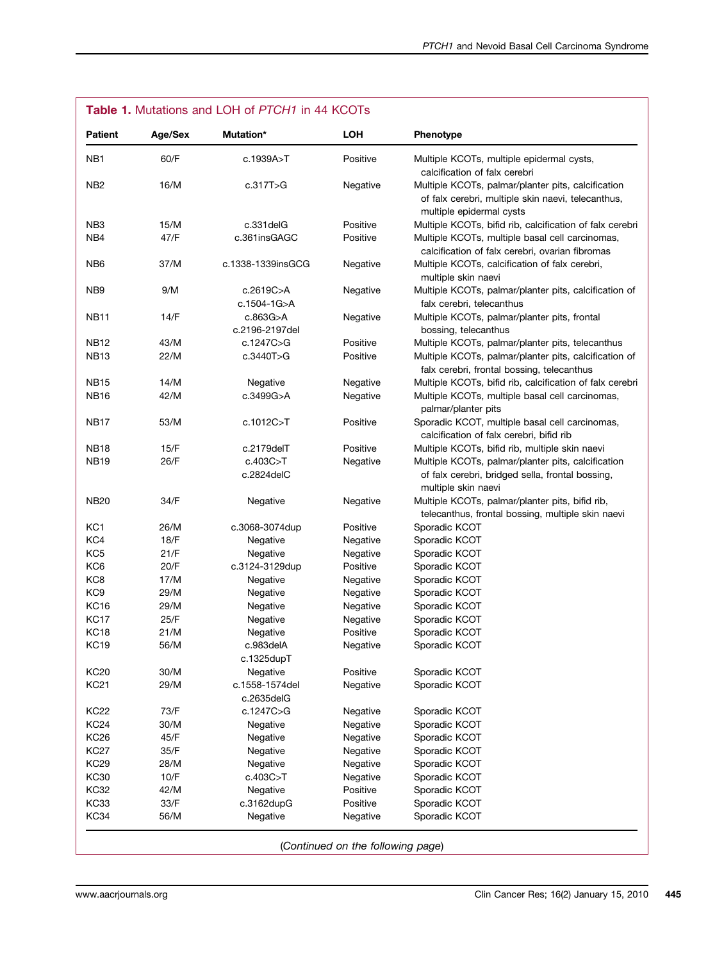| NB <sub>1</sub><br>60/F<br>c.1939A>T<br>Positive<br>Multiple KCOTs, multiple epidermal cysts,<br>calcification of falx cerebri<br>NB <sub>2</sub><br>16/M<br>c.317T>G<br>Negative<br>multiple epidermal cysts<br>15/M<br>NB <sub>3</sub><br>c.331delG<br>Positive<br>47/F<br>NB4<br>c.361insGAGC<br>Positive<br>37/M<br>NB <sub>6</sub><br>c.1338-1339insGCG<br>Negative<br>Multiple KCOTs, calcification of falx cerebri,<br>multiple skin naevi<br>NB <sub>9</sub><br>9/M<br>c.2619C>A<br>Negative<br>c.1504-1G>A<br>falx cerebri, telecanthus<br><b>NB11</b><br>14/F<br>c.863G>A<br>Negative<br>Multiple KCOTs, palmar/planter pits, frontal<br>c.2196-2197del<br>bossing, telecanthus<br>43/M<br><b>NB12</b><br>c.1247C>G<br>Positive<br><b>NB13</b><br>22/M<br>c.3440T>G<br>Positive<br>falx cerebri, frontal bossing, telecanthus<br><b>NB15</b><br>14/M<br>Negative<br>Negative<br>42/M<br>c.3499G>A<br><b>NB16</b><br>Negative<br>palmar/planter pits<br>53/M<br>Positive<br><b>NB17</b><br>c.1012C>T<br>calcification of falx cerebri, bifid rib<br><b>NB18</b><br>15/F<br>Positive<br>$c.2179$ del $T$<br>Multiple KCOTs, bifid rib, multiple skin naevi<br><b>NB19</b><br>26/F<br>c.403C > T<br>Negative<br>c.2824delC<br>multiple skin naevi<br><b>NB20</b><br>34/F<br>Negative<br>Negative<br>Multiple KCOTs, palmar/planter pits, bifid rib,<br>KC <sub>1</sub><br>26/M<br>Sporadic KCOT<br>c.3068-3074dup<br>Positive<br>KC4<br>18/F<br>Negative<br>Negative<br>Sporadic KCOT<br>KC <sub>5</sub><br>21/F<br>Negative<br>Negative<br>Sporadic KCOT<br>KC <sub>6</sub><br>20/F<br>c.3124-3129dup<br>Positive<br>Sporadic KCOT<br>KC <sub>8</sub><br>17/M<br>Negative<br>Negative<br>Sporadic KCOT<br>KC <sub>9</sub><br>29/M<br>Sporadic KCOT<br>Negative<br>Negative<br><b>KC16</b><br>29/M<br>Negative<br>Negative<br>Sporadic KCOT<br><b>KC17</b><br>25/F<br>Negative<br>Sporadic KCOT<br>Negative<br><b>KC18</b><br>21/M<br>Positive<br>Sporadic KCOT<br>Negative<br><b>KC19</b><br>56/M<br>c.983delA<br>Sporadic KCOT<br>Negative<br>c.1325dupT<br>30/M<br><b>KC20</b><br>Positive<br>Sporadic KCOT<br>Negative<br><b>KC21</b><br>29/M<br>c.1558-1574del<br>Sporadic KCOT<br>Negative<br>$c.2635$ del $G$<br><b>KC22</b><br>73/F<br>c.1247C>G<br>Sporadic KCOT<br>Negative<br><b>KC24</b><br>30/M<br>Sporadic KCOT<br>Negative<br>Negative<br>45/F<br><b>KC26</b><br>Negative<br>Negative<br>Sporadic KCOT<br><b>KC27</b><br>35/F<br>Negative<br>Negative<br>Sporadic KCOT<br><b>KC29</b><br>28/M<br>Negative<br>Negative<br>Sporadic KCOT<br><b>KC30</b><br>10/F<br>c.403C>T<br>Negative<br>Sporadic KCOT<br><b>KC32</b><br>42/M<br>Positive<br>Sporadic KCOT<br>Negative<br><b>KC33</b><br>33/F<br>c.3162dupG<br>Positive<br>Sporadic KCOT | <b>Patient</b> | Age/Sex | <b>Mutation*</b> | LOH      | Phenotype                                                                                                |
|----------------------------------------------------------------------------------------------------------------------------------------------------------------------------------------------------------------------------------------------------------------------------------------------------------------------------------------------------------------------------------------------------------------------------------------------------------------------------------------------------------------------------------------------------------------------------------------------------------------------------------------------------------------------------------------------------------------------------------------------------------------------------------------------------------------------------------------------------------------------------------------------------------------------------------------------------------------------------------------------------------------------------------------------------------------------------------------------------------------------------------------------------------------------------------------------------------------------------------------------------------------------------------------------------------------------------------------------------------------------------------------------------------------------------------------------------------------------------------------------------------------------------------------------------------------------------------------------------------------------------------------------------------------------------------------------------------------------------------------------------------------------------------------------------------------------------------------------------------------------------------------------------------------------------------------------------------------------------------------------------------------------------------------------------------------------------------------------------------------------------------------------------------------------------------------------------------------------------------------------------------------------------------------------------------------------------------------------------------------------------------------------------------------------------------------------------------------------------------------------------------------------------------------------------------------------------------------------------------------------------------------------------------------------------------------------------------------------------------------------------------------|----------------|---------|------------------|----------|----------------------------------------------------------------------------------------------------------|
|                                                                                                                                                                                                                                                                                                                                                                                                                                                                                                                                                                                                                                                                                                                                                                                                                                                                                                                                                                                                                                                                                                                                                                                                                                                                                                                                                                                                                                                                                                                                                                                                                                                                                                                                                                                                                                                                                                                                                                                                                                                                                                                                                                                                                                                                                                                                                                                                                                                                                                                                                                                                                                                                                                                                                                |                |         |                  |          |                                                                                                          |
|                                                                                                                                                                                                                                                                                                                                                                                                                                                                                                                                                                                                                                                                                                                                                                                                                                                                                                                                                                                                                                                                                                                                                                                                                                                                                                                                                                                                                                                                                                                                                                                                                                                                                                                                                                                                                                                                                                                                                                                                                                                                                                                                                                                                                                                                                                                                                                                                                                                                                                                                                                                                                                                                                                                                                                |                |         |                  |          | Multiple KCOTs, palmar/planter pits, calcification<br>of falx cerebri, multiple skin naevi, telecanthus, |
|                                                                                                                                                                                                                                                                                                                                                                                                                                                                                                                                                                                                                                                                                                                                                                                                                                                                                                                                                                                                                                                                                                                                                                                                                                                                                                                                                                                                                                                                                                                                                                                                                                                                                                                                                                                                                                                                                                                                                                                                                                                                                                                                                                                                                                                                                                                                                                                                                                                                                                                                                                                                                                                                                                                                                                |                |         |                  |          | Multiple KCOTs, bifid rib, calcification of falx cerebri                                                 |
|                                                                                                                                                                                                                                                                                                                                                                                                                                                                                                                                                                                                                                                                                                                                                                                                                                                                                                                                                                                                                                                                                                                                                                                                                                                                                                                                                                                                                                                                                                                                                                                                                                                                                                                                                                                                                                                                                                                                                                                                                                                                                                                                                                                                                                                                                                                                                                                                                                                                                                                                                                                                                                                                                                                                                                |                |         |                  |          | Multiple KCOTs, multiple basal cell carcinomas,<br>calcification of falx cerebri, ovarian fibromas       |
|                                                                                                                                                                                                                                                                                                                                                                                                                                                                                                                                                                                                                                                                                                                                                                                                                                                                                                                                                                                                                                                                                                                                                                                                                                                                                                                                                                                                                                                                                                                                                                                                                                                                                                                                                                                                                                                                                                                                                                                                                                                                                                                                                                                                                                                                                                                                                                                                                                                                                                                                                                                                                                                                                                                                                                |                |         |                  |          |                                                                                                          |
|                                                                                                                                                                                                                                                                                                                                                                                                                                                                                                                                                                                                                                                                                                                                                                                                                                                                                                                                                                                                                                                                                                                                                                                                                                                                                                                                                                                                                                                                                                                                                                                                                                                                                                                                                                                                                                                                                                                                                                                                                                                                                                                                                                                                                                                                                                                                                                                                                                                                                                                                                                                                                                                                                                                                                                |                |         |                  |          | Multiple KCOTs, palmar/planter pits, calcification of                                                    |
|                                                                                                                                                                                                                                                                                                                                                                                                                                                                                                                                                                                                                                                                                                                                                                                                                                                                                                                                                                                                                                                                                                                                                                                                                                                                                                                                                                                                                                                                                                                                                                                                                                                                                                                                                                                                                                                                                                                                                                                                                                                                                                                                                                                                                                                                                                                                                                                                                                                                                                                                                                                                                                                                                                                                                                |                |         |                  |          |                                                                                                          |
|                                                                                                                                                                                                                                                                                                                                                                                                                                                                                                                                                                                                                                                                                                                                                                                                                                                                                                                                                                                                                                                                                                                                                                                                                                                                                                                                                                                                                                                                                                                                                                                                                                                                                                                                                                                                                                                                                                                                                                                                                                                                                                                                                                                                                                                                                                                                                                                                                                                                                                                                                                                                                                                                                                                                                                |                |         |                  |          | Multiple KCOTs, palmar/planter pits, telecanthus                                                         |
|                                                                                                                                                                                                                                                                                                                                                                                                                                                                                                                                                                                                                                                                                                                                                                                                                                                                                                                                                                                                                                                                                                                                                                                                                                                                                                                                                                                                                                                                                                                                                                                                                                                                                                                                                                                                                                                                                                                                                                                                                                                                                                                                                                                                                                                                                                                                                                                                                                                                                                                                                                                                                                                                                                                                                                |                |         |                  |          | Multiple KCOTs, palmar/planter pits, calcification of                                                    |
|                                                                                                                                                                                                                                                                                                                                                                                                                                                                                                                                                                                                                                                                                                                                                                                                                                                                                                                                                                                                                                                                                                                                                                                                                                                                                                                                                                                                                                                                                                                                                                                                                                                                                                                                                                                                                                                                                                                                                                                                                                                                                                                                                                                                                                                                                                                                                                                                                                                                                                                                                                                                                                                                                                                                                                |                |         |                  |          | Multiple KCOTs, bifid rib, calcification of falx cerebri                                                 |
|                                                                                                                                                                                                                                                                                                                                                                                                                                                                                                                                                                                                                                                                                                                                                                                                                                                                                                                                                                                                                                                                                                                                                                                                                                                                                                                                                                                                                                                                                                                                                                                                                                                                                                                                                                                                                                                                                                                                                                                                                                                                                                                                                                                                                                                                                                                                                                                                                                                                                                                                                                                                                                                                                                                                                                |                |         |                  |          | Multiple KCOTs, multiple basal cell carcinomas,                                                          |
|                                                                                                                                                                                                                                                                                                                                                                                                                                                                                                                                                                                                                                                                                                                                                                                                                                                                                                                                                                                                                                                                                                                                                                                                                                                                                                                                                                                                                                                                                                                                                                                                                                                                                                                                                                                                                                                                                                                                                                                                                                                                                                                                                                                                                                                                                                                                                                                                                                                                                                                                                                                                                                                                                                                                                                |                |         |                  |          | Sporadic KCOT, multiple basal cell carcinomas,                                                           |
|                                                                                                                                                                                                                                                                                                                                                                                                                                                                                                                                                                                                                                                                                                                                                                                                                                                                                                                                                                                                                                                                                                                                                                                                                                                                                                                                                                                                                                                                                                                                                                                                                                                                                                                                                                                                                                                                                                                                                                                                                                                                                                                                                                                                                                                                                                                                                                                                                                                                                                                                                                                                                                                                                                                                                                |                |         |                  |          |                                                                                                          |
|                                                                                                                                                                                                                                                                                                                                                                                                                                                                                                                                                                                                                                                                                                                                                                                                                                                                                                                                                                                                                                                                                                                                                                                                                                                                                                                                                                                                                                                                                                                                                                                                                                                                                                                                                                                                                                                                                                                                                                                                                                                                                                                                                                                                                                                                                                                                                                                                                                                                                                                                                                                                                                                                                                                                                                |                |         |                  |          | Multiple KCOTs, palmar/planter pits, calcification<br>of falx cerebri, bridged sella, frontal bossing,   |
|                                                                                                                                                                                                                                                                                                                                                                                                                                                                                                                                                                                                                                                                                                                                                                                                                                                                                                                                                                                                                                                                                                                                                                                                                                                                                                                                                                                                                                                                                                                                                                                                                                                                                                                                                                                                                                                                                                                                                                                                                                                                                                                                                                                                                                                                                                                                                                                                                                                                                                                                                                                                                                                                                                                                                                |                |         |                  |          | telecanthus, frontal bossing, multiple skin naevi                                                        |
|                                                                                                                                                                                                                                                                                                                                                                                                                                                                                                                                                                                                                                                                                                                                                                                                                                                                                                                                                                                                                                                                                                                                                                                                                                                                                                                                                                                                                                                                                                                                                                                                                                                                                                                                                                                                                                                                                                                                                                                                                                                                                                                                                                                                                                                                                                                                                                                                                                                                                                                                                                                                                                                                                                                                                                |                |         |                  |          |                                                                                                          |
|                                                                                                                                                                                                                                                                                                                                                                                                                                                                                                                                                                                                                                                                                                                                                                                                                                                                                                                                                                                                                                                                                                                                                                                                                                                                                                                                                                                                                                                                                                                                                                                                                                                                                                                                                                                                                                                                                                                                                                                                                                                                                                                                                                                                                                                                                                                                                                                                                                                                                                                                                                                                                                                                                                                                                                |                |         |                  |          |                                                                                                          |
|                                                                                                                                                                                                                                                                                                                                                                                                                                                                                                                                                                                                                                                                                                                                                                                                                                                                                                                                                                                                                                                                                                                                                                                                                                                                                                                                                                                                                                                                                                                                                                                                                                                                                                                                                                                                                                                                                                                                                                                                                                                                                                                                                                                                                                                                                                                                                                                                                                                                                                                                                                                                                                                                                                                                                                |                |         |                  |          |                                                                                                          |
|                                                                                                                                                                                                                                                                                                                                                                                                                                                                                                                                                                                                                                                                                                                                                                                                                                                                                                                                                                                                                                                                                                                                                                                                                                                                                                                                                                                                                                                                                                                                                                                                                                                                                                                                                                                                                                                                                                                                                                                                                                                                                                                                                                                                                                                                                                                                                                                                                                                                                                                                                                                                                                                                                                                                                                |                |         |                  |          |                                                                                                          |
|                                                                                                                                                                                                                                                                                                                                                                                                                                                                                                                                                                                                                                                                                                                                                                                                                                                                                                                                                                                                                                                                                                                                                                                                                                                                                                                                                                                                                                                                                                                                                                                                                                                                                                                                                                                                                                                                                                                                                                                                                                                                                                                                                                                                                                                                                                                                                                                                                                                                                                                                                                                                                                                                                                                                                                |                |         |                  |          |                                                                                                          |
|                                                                                                                                                                                                                                                                                                                                                                                                                                                                                                                                                                                                                                                                                                                                                                                                                                                                                                                                                                                                                                                                                                                                                                                                                                                                                                                                                                                                                                                                                                                                                                                                                                                                                                                                                                                                                                                                                                                                                                                                                                                                                                                                                                                                                                                                                                                                                                                                                                                                                                                                                                                                                                                                                                                                                                |                |         |                  |          |                                                                                                          |
|                                                                                                                                                                                                                                                                                                                                                                                                                                                                                                                                                                                                                                                                                                                                                                                                                                                                                                                                                                                                                                                                                                                                                                                                                                                                                                                                                                                                                                                                                                                                                                                                                                                                                                                                                                                                                                                                                                                                                                                                                                                                                                                                                                                                                                                                                                                                                                                                                                                                                                                                                                                                                                                                                                                                                                |                |         |                  |          |                                                                                                          |
|                                                                                                                                                                                                                                                                                                                                                                                                                                                                                                                                                                                                                                                                                                                                                                                                                                                                                                                                                                                                                                                                                                                                                                                                                                                                                                                                                                                                                                                                                                                                                                                                                                                                                                                                                                                                                                                                                                                                                                                                                                                                                                                                                                                                                                                                                                                                                                                                                                                                                                                                                                                                                                                                                                                                                                |                |         |                  |          |                                                                                                          |
|                                                                                                                                                                                                                                                                                                                                                                                                                                                                                                                                                                                                                                                                                                                                                                                                                                                                                                                                                                                                                                                                                                                                                                                                                                                                                                                                                                                                                                                                                                                                                                                                                                                                                                                                                                                                                                                                                                                                                                                                                                                                                                                                                                                                                                                                                                                                                                                                                                                                                                                                                                                                                                                                                                                                                                |                |         |                  |          |                                                                                                          |
|                                                                                                                                                                                                                                                                                                                                                                                                                                                                                                                                                                                                                                                                                                                                                                                                                                                                                                                                                                                                                                                                                                                                                                                                                                                                                                                                                                                                                                                                                                                                                                                                                                                                                                                                                                                                                                                                                                                                                                                                                                                                                                                                                                                                                                                                                                                                                                                                                                                                                                                                                                                                                                                                                                                                                                |                |         |                  |          |                                                                                                          |
|                                                                                                                                                                                                                                                                                                                                                                                                                                                                                                                                                                                                                                                                                                                                                                                                                                                                                                                                                                                                                                                                                                                                                                                                                                                                                                                                                                                                                                                                                                                                                                                                                                                                                                                                                                                                                                                                                                                                                                                                                                                                                                                                                                                                                                                                                                                                                                                                                                                                                                                                                                                                                                                                                                                                                                |                |         |                  |          |                                                                                                          |
|                                                                                                                                                                                                                                                                                                                                                                                                                                                                                                                                                                                                                                                                                                                                                                                                                                                                                                                                                                                                                                                                                                                                                                                                                                                                                                                                                                                                                                                                                                                                                                                                                                                                                                                                                                                                                                                                                                                                                                                                                                                                                                                                                                                                                                                                                                                                                                                                                                                                                                                                                                                                                                                                                                                                                                |                |         |                  |          |                                                                                                          |
|                                                                                                                                                                                                                                                                                                                                                                                                                                                                                                                                                                                                                                                                                                                                                                                                                                                                                                                                                                                                                                                                                                                                                                                                                                                                                                                                                                                                                                                                                                                                                                                                                                                                                                                                                                                                                                                                                                                                                                                                                                                                                                                                                                                                                                                                                                                                                                                                                                                                                                                                                                                                                                                                                                                                                                |                |         |                  |          |                                                                                                          |
|                                                                                                                                                                                                                                                                                                                                                                                                                                                                                                                                                                                                                                                                                                                                                                                                                                                                                                                                                                                                                                                                                                                                                                                                                                                                                                                                                                                                                                                                                                                                                                                                                                                                                                                                                                                                                                                                                                                                                                                                                                                                                                                                                                                                                                                                                                                                                                                                                                                                                                                                                                                                                                                                                                                                                                |                |         |                  |          |                                                                                                          |
|                                                                                                                                                                                                                                                                                                                                                                                                                                                                                                                                                                                                                                                                                                                                                                                                                                                                                                                                                                                                                                                                                                                                                                                                                                                                                                                                                                                                                                                                                                                                                                                                                                                                                                                                                                                                                                                                                                                                                                                                                                                                                                                                                                                                                                                                                                                                                                                                                                                                                                                                                                                                                                                                                                                                                                |                |         |                  |          |                                                                                                          |
|                                                                                                                                                                                                                                                                                                                                                                                                                                                                                                                                                                                                                                                                                                                                                                                                                                                                                                                                                                                                                                                                                                                                                                                                                                                                                                                                                                                                                                                                                                                                                                                                                                                                                                                                                                                                                                                                                                                                                                                                                                                                                                                                                                                                                                                                                                                                                                                                                                                                                                                                                                                                                                                                                                                                                                |                |         |                  |          |                                                                                                          |
|                                                                                                                                                                                                                                                                                                                                                                                                                                                                                                                                                                                                                                                                                                                                                                                                                                                                                                                                                                                                                                                                                                                                                                                                                                                                                                                                                                                                                                                                                                                                                                                                                                                                                                                                                                                                                                                                                                                                                                                                                                                                                                                                                                                                                                                                                                                                                                                                                                                                                                                                                                                                                                                                                                                                                                |                |         |                  |          |                                                                                                          |
|                                                                                                                                                                                                                                                                                                                                                                                                                                                                                                                                                                                                                                                                                                                                                                                                                                                                                                                                                                                                                                                                                                                                                                                                                                                                                                                                                                                                                                                                                                                                                                                                                                                                                                                                                                                                                                                                                                                                                                                                                                                                                                                                                                                                                                                                                                                                                                                                                                                                                                                                                                                                                                                                                                                                                                |                |         |                  |          |                                                                                                          |
|                                                                                                                                                                                                                                                                                                                                                                                                                                                                                                                                                                                                                                                                                                                                                                                                                                                                                                                                                                                                                                                                                                                                                                                                                                                                                                                                                                                                                                                                                                                                                                                                                                                                                                                                                                                                                                                                                                                                                                                                                                                                                                                                                                                                                                                                                                                                                                                                                                                                                                                                                                                                                                                                                                                                                                |                |         |                  |          |                                                                                                          |
|                                                                                                                                                                                                                                                                                                                                                                                                                                                                                                                                                                                                                                                                                                                                                                                                                                                                                                                                                                                                                                                                                                                                                                                                                                                                                                                                                                                                                                                                                                                                                                                                                                                                                                                                                                                                                                                                                                                                                                                                                                                                                                                                                                                                                                                                                                                                                                                                                                                                                                                                                                                                                                                                                                                                                                | <b>KC34</b>    | 56/M    | Negative         | Negative | Sporadic KCOT                                                                                            |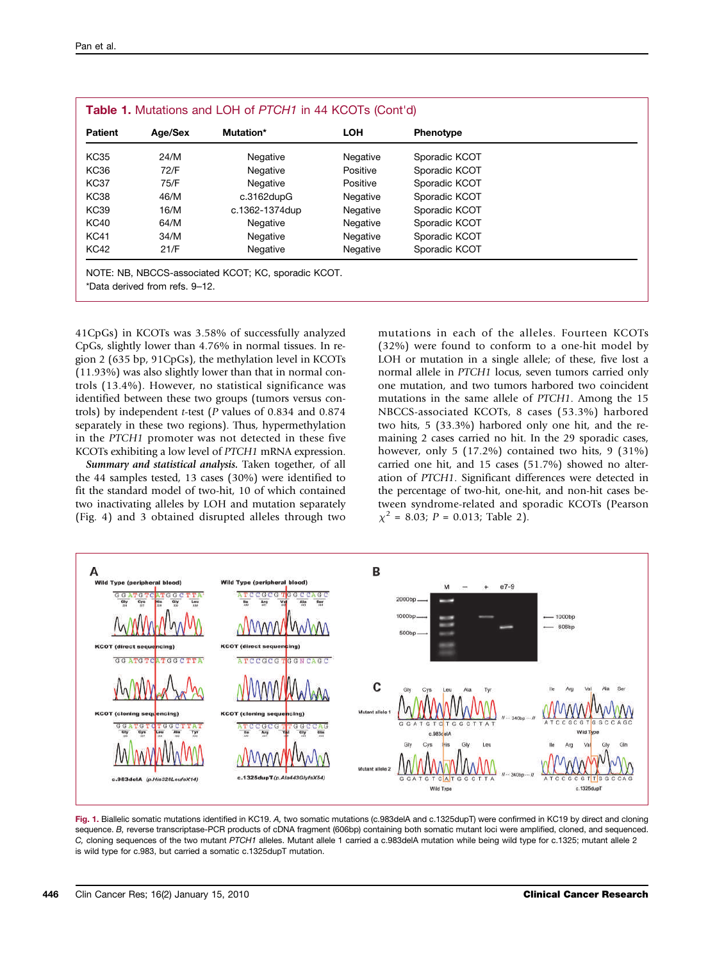|             |         | Table 1. Mutations and LOH of PTCH1 in 44 KCOTs (Cont'd) |            |               |  |
|-------------|---------|----------------------------------------------------------|------------|---------------|--|
| Patient     | Age/Sex | <b>Mutation*</b>                                         | <b>LOH</b> | Phenotype     |  |
| <b>KC35</b> | 24/M    | Negative                                                 | Negative   | Sporadic KCOT |  |
| <b>KC36</b> | 72/F    | Negative                                                 | Positive   | Sporadic KCOT |  |
| <b>KC37</b> | 75/F    | Negative                                                 | Positive   | Sporadic KCOT |  |
| <b>KC38</b> | 46/M    | $c.3162$ dup $G$                                         | Negative   | Sporadic KCOT |  |
| <b>KC39</b> | 16/M    | c.1362-1374dup                                           | Negative   | Sporadic KCOT |  |
| <b>KC40</b> | 64/M    | Negative                                                 | Negative   | Sporadic KCOT |  |
| <b>KC41</b> | 34/M    | Negative                                                 | Negative   | Sporadic KCOT |  |
| <b>KC42</b> | 21/F    | Negative                                                 | Negative   | Sporadic KCOT |  |

41CpGs) in KCOTs was 3.58% of successfully analyzed CpGs, slightly lower than 4.76% in normal tissues. In region 2 (635 bp, 91CpGs), the methylation level in KCOTs (11.93%) was also slightly lower than that in normal controls (13.4%). However, no statistical significance was identified between these two groups (tumors versus controls) by independent t-test (P values of 0.834 and 0.874 separately in these two regions). Thus, hypermethylation in the PTCH1 promoter was not detected in these five KCOTs exhibiting a low level of PTCH1 mRNA expression.

Summary and statistical analysis. Taken together, of all the 44 samples tested, 13 cases (30%) were identified to fit the standard model of two-hit, 10 of which contained two inactivating alleles by LOH and mutation separately (Fig. 4) and 3 obtained disrupted alleles through two

mutations in each of the alleles. Fourteen KCOTs (32%) were found to conform to a one-hit model by LOH or mutation in a single allele; of these, five lost a normal allele in PTCH1 locus, seven tumors carried only one mutation, and two tumors harbored two coincident mutations in the same allele of PTCH1. Among the 15 NBCCS-associated KCOTs, 8 cases (53.3%) harbored two hits, 5 (33.3%) harbored only one hit, and the remaining 2 cases carried no hit. In the 29 sporadic cases, however, only 5 (17.2%) contained two hits, 9 (31%) carried one hit, and 15 cases (51.7%) showed no alteration of PTCH1. Significant differences were detected in the percentage of two-hit, one-hit, and non-hit cases between syndrome-related and sporadic KCOTs (Pearson  $\chi^2$  = 8.03; *P* = 0.013; Table 2).



Fig. 1. Biallelic somatic mutations identified in KC19. A, two somatic mutations (c.983delA and c.1325dupT) were confirmed in KC19 by direct and cloning sequence. B, reverse transcriptase-PCR products of cDNA fragment (606bp) containing both somatic mutant loci were amplified, cloned, and sequenced. C, cloning sequences of the two mutant PTCH1 alleles. Mutant allele 1 carried a c.983delA mutation while being wild type for c.1325; mutant allele 2 is wild type for c.983, but carried a somatic c.1325dupT mutation.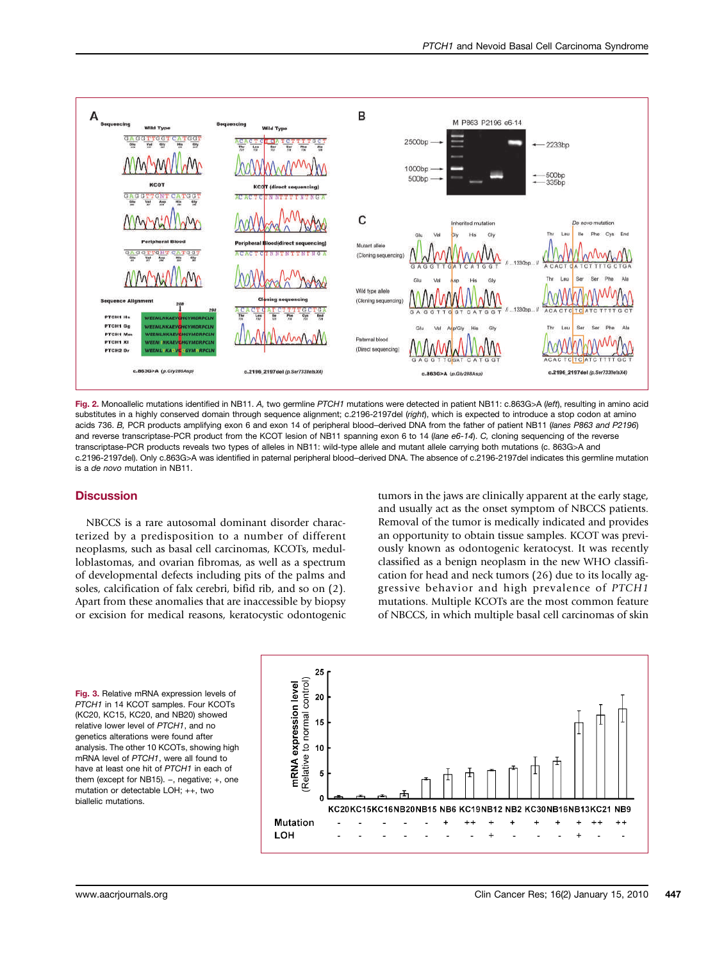

Fig. 2. Monoallelic mutations identified in NB11. A, two germline PTCH1 mutations were detected in patient NB11: c.863G>A (left), resulting in amino acid substitutes in a highly conserved domain through sequence alignment; c.2196-2197del (right), which is expected to introduce a stop codon at amino acids 736. B, PCR products amplifying exon 6 and exon 14 of peripheral blood–derived DNA from the father of patient NB11 (lanes P863 and P2196) and reverse transcriptase-PCR product from the KCOT lesion of NB11 spanning exon 6 to 14 (lane e6-14). C, cloning sequencing of the reverse transcriptase-PCR products reveals two types of alleles in NB11: wild-type allele and mutant allele carrying both mutations (c. 863G>A and c.2196-2197del). Only c.863G>A was identified in paternal peripheral blood–derived DNA. The absence of c.2196-2197del indicates this germline mutation is a de novo mutation in NB11.

#### **Discussion**

NBCCS is a rare autosomal dominant disorder characterized by a predisposition to a number of different neoplasms, such as basal cell carcinomas, KCOTs, medulloblastomas, and ovarian fibromas, as well as a spectrum of developmental defects including pits of the palms and soles, calcification of falx cerebri, bifid rib, and so on (2). Apart from these anomalies that are inaccessible by biopsy or excision for medical reasons, keratocystic odontogenic

tumors in the jaws are clinically apparent at the early stage, and usually act as the onset symptom of NBCCS patients. Removal of the tumor is medically indicated and provides an opportunity to obtain tissue samples. KCOT was previously known as odontogenic keratocyst. It was recently classified as a benign neoplasm in the new WHO classification for head and neck tumors (26) due to its locally aggressive behavior and high prevalence of PTCH1 mutations. Multiple KCOTs are the most common feature of NBCCS, in which multiple basal cell carcinomas of skin

Fig. 3. Relative mRNA expression levels of PTCH1 in 14 KCOT samples. Four KCOTs (KC20, KC15, KC20, and NB20) showed relative lower level of PTCH1, and no genetics alterations were found after analysis. The other 10 KCOTs, showing high mRNA level of PTCH1, were all found to have at least one hit of PTCH1 in each of them (except for NB15). −, negative; +, one mutation or detectable LOH; ++, two biallelic mutations.

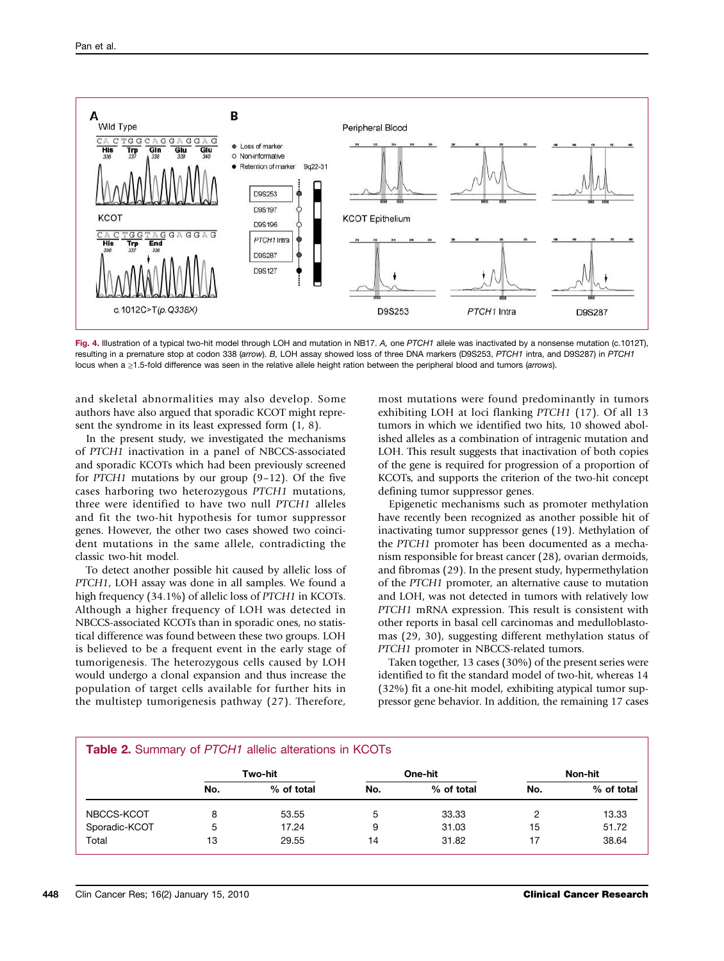

Fig. 4. Illustration of a typical two-hit model through LOH and mutation in NB17. A, one PTCH1 allele was inactivated by a nonsense mutation (c.1012T), resulting in a premature stop at codon 338 (arrow). B, LOH assay showed loss of three DNA markers (D9S253, PTCH1 intra, and D9S287) in PTCH1 locus when a ≥1.5-fold difference was seen in the relative allele height ration between the peripheral blood and tumors (arrows).

and skeletal abnormalities may also develop. Some authors have also argued that sporadic KCOT might represent the syndrome in its least expressed form (1, 8).

In the present study, we investigated the mechanisms of PTCH1 inactivation in a panel of NBCCS-associated and sporadic KCOTs which had been previously screened for PTCH1 mutations by our group (9–12). Of the five cases harboring two heterozygous PTCH1 mutations, three were identified to have two null PTCH1 alleles and fit the two-hit hypothesis for tumor suppressor genes. However, the other two cases showed two coincident mutations in the same allele, contradicting the classic two-hit model.

To detect another possible hit caused by allelic loss of PTCH1, LOH assay was done in all samples. We found a high frequency (34.1%) of allelic loss of PTCH1 in KCOTs. Although a higher frequency of LOH was detected in NBCCS-associated KCOTs than in sporadic ones, no statistical difference was found between these two groups. LOH is believed to be a frequent event in the early stage of tumorigenesis. The heterozygous cells caused by LOH would undergo a clonal expansion and thus increase the population of target cells available for further hits in the multistep tumorigenesis pathway (27). Therefore,

most mutations were found predominantly in tumors exhibiting LOH at loci flanking PTCH1 (17). Of all 13 tumors in which we identified two hits, 10 showed abolished alleles as a combination of intragenic mutation and LOH. This result suggests that inactivation of both copies of the gene is required for progression of a proportion of KCOTs, and supports the criterion of the two-hit concept defining tumor suppressor genes.

Epigenetic mechanisms such as promoter methylation have recently been recognized as another possible hit of inactivating tumor suppressor genes (19). Methylation of the PTCH1 promoter has been documented as a mechanism responsible for breast cancer (28), ovarian dermoids, and fibromas (29). In the present study, hypermethylation of the PTCH1 promoter, an alternative cause to mutation and LOH, was not detected in tumors with relatively low PTCH1 mRNA expression. This result is consistent with other reports in basal cell carcinomas and medulloblastomas (29, 30), suggesting different methylation status of PTCH1 promoter in NBCCS-related tumors.

Taken together, 13 cases (30%) of the present series were identified to fit the standard model of two-hit, whereas 14 (32%) fit a one-hit model, exhibiting atypical tumor suppressor gene behavior. In addition, the remaining 17 cases

| <b>Table 2.</b> Summary of PTCH1 allelic alterations in KCOTs |     |            |         |            |         |            |  |  |
|---------------------------------------------------------------|-----|------------|---------|------------|---------|------------|--|--|
|                                                               |     | Two-hit    | One-hit |            | Non-hit |            |  |  |
|                                                               | No. | % of total | No.     | % of total | No.     | % of total |  |  |
| NBCCS-KCOT                                                    | 8   | 53.55      | 5       | 33.33      | 2       | 13.33      |  |  |
| Sporadic-KCOT                                                 | 5   | 17.24      | 9       | 31.03      | 15      | 51.72      |  |  |
| Total                                                         | 13  | 29.55      | 14      | 31.82      | 17      | 38.64      |  |  |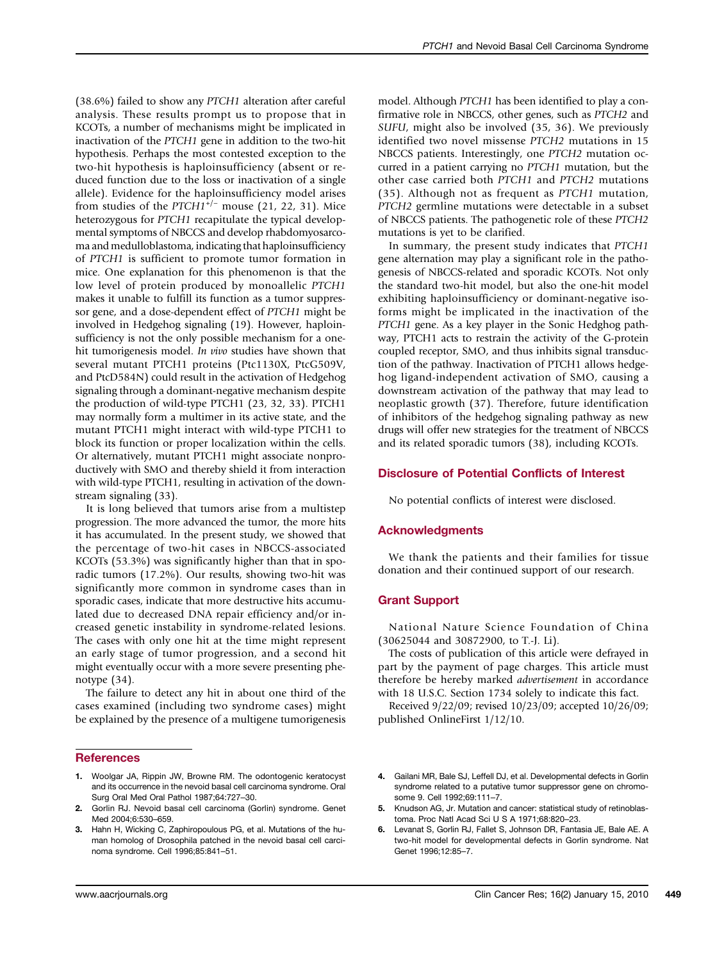(38.6%) failed to show any PTCH1 alteration after careful analysis. These results prompt us to propose that in KCOTs, a number of mechanisms might be implicated in inactivation of the PTCH1 gene in addition to the two-hit hypothesis. Perhaps the most contested exception to the two-hit hypothesis is haploinsufficiency (absent or reduced function due to the loss or inactivation of a single allele). Evidence for the haploinsufficiency model arises from studies of the  $PTCH1^{+/}$  mouse (21, 22, 31). Mice heterozygous for PTCH1 recapitulate the typical developmental symptoms of NBCCS and develop rhabdomyosarcoma and medulloblastoma, indicating that haploinsufficiency of PTCH1 is sufficient to promote tumor formation in mice. One explanation for this phenomenon is that the low level of protein produced by monoallelic PTCH1 makes it unable to fulfill its function as a tumor suppressor gene, and a dose-dependent effect of PTCH1 might be involved in Hedgehog signaling (19). However, haploinsufficiency is not the only possible mechanism for a onehit tumorigenesis model. In vivo studies have shown that several mutant PTCH1 proteins (Ptc1130X, PtcG509V, and PtcD584N) could result in the activation of Hedgehog signaling through a dominant-negative mechanism despite the production of wild-type PTCH1 (23, 32, 33). PTCH1 may normally form a multimer in its active state, and the mutant PTCH1 might interact with wild-type PTCH1 to block its function or proper localization within the cells. Or alternatively, mutant PTCH1 might associate nonproductively with SMO and thereby shield it from interaction with wild-type PTCH1, resulting in activation of the downstream signaling (33).

It is long believed that tumors arise from a multistep progression. The more advanced the tumor, the more hits it has accumulated. In the present study, we showed that the percentage of two-hit cases in NBCCS-associated KCOTs (53.3%) was significantly higher than that in sporadic tumors (17.2%). Our results, showing two-hit was significantly more common in syndrome cases than in sporadic cases, indicate that more destructive hits accumulated due to decreased DNA repair efficiency and/or increased genetic instability in syndrome-related lesions. The cases with only one hit at the time might represent an early stage of tumor progression, and a second hit might eventually occur with a more severe presenting phenotype (34).

The failure to detect any hit in about one third of the cases examined (including two syndrome cases) might be explained by the presence of a multigene tumorigenesis

#### **References**

- 1. Woolgar JA, Rippin JW, Browne RM. The odontogenic keratocyst and its occurrence in the nevoid basal cell carcinoma syndrome. Oral Surg Oral Med Oral Pathol 1987;64:727–30.
- 2. Gorlin RJ. Nevoid basal cell carcinoma (Gorlin) syndrome. Genet Med 2004;6:530–659.
- 3. Hahn H, Wicking C, Zaphiropoulous PG, et al. Mutations of the human homolog of Drosophila patched in the nevoid basal cell carcinoma syndrome. Cell 1996;85:841–51.

model. Although PTCH1 has been identified to play a confirmative role in NBCCS, other genes, such as PTCH2 and SUFU, might also be involved (35, 36). We previously identified two novel missense PTCH2 mutations in 15 NBCCS patients. Interestingly, one PTCH2 mutation occurred in a patient carrying no PTCH1 mutation, but the other case carried both PTCH1 and PTCH2 mutations (35). Although not as frequent as PTCH1 mutation, PTCH2 germline mutations were detectable in a subset of NBCCS patients. The pathogenetic role of these PTCH2 mutations is yet to be clarified.

In summary, the present study indicates that PTCH1 gene alternation may play a significant role in the pathogenesis of NBCCS-related and sporadic KCOTs. Not only the standard two-hit model, but also the one-hit model exhibiting haploinsufficiency or dominant-negative isoforms might be implicated in the inactivation of the PTCH1 gene. As a key player in the Sonic Hedghog pathway, PTCH1 acts to restrain the activity of the G-protein coupled receptor, SMO, and thus inhibits signal transduction of the pathway. Inactivation of PTCH1 allows hedgehog ligand-independent activation of SMO, causing a downstream activation of the pathway that may lead to neoplastic growth (37). Therefore, future identification of inhibitors of the hedgehog signaling pathway as new drugs will offer new strategies for the treatment of NBCCS and its related sporadic tumors (38), including KCOTs.

# Disclosure of Potential Conflicts of Interest

No potential conflicts of interest were disclosed.

### Acknowledgments

We thank the patients and their families for tissue donation and their continued support of our research.

### Grant Support

National Nature Science Foundation of China (30625044 and 30872900, to T.-J. Li).

The costs of publication of this article were defrayed in part by the payment of page charges. This article must therefore be hereby marked advertisement in accordance with 18 U.S.C. Section 1734 solely to indicate this fact.

Received 9/22/09; revised 10/23/09; accepted 10/26/09; published OnlineFirst 1/12/10.

- 4. Gailani MR, Bale SJ, Leffell DJ, et al. Developmental defects in Gorlin syndrome related to a putative tumor suppressor gene on chromosome 9. Cell 1992;69:111–7.
- 5. Knudson AG, Jr. Mutation and cancer: statistical study of retinoblastoma. Proc Natl Acad Sci U S A 1971;68:820–23.
- 6. Levanat S, Gorlin RJ, Fallet S, Johnson DR, Fantasia JE, Bale AE. A two-hit model for developmental defects in Gorlin syndrome. Nat Genet 1996;12:85–7.